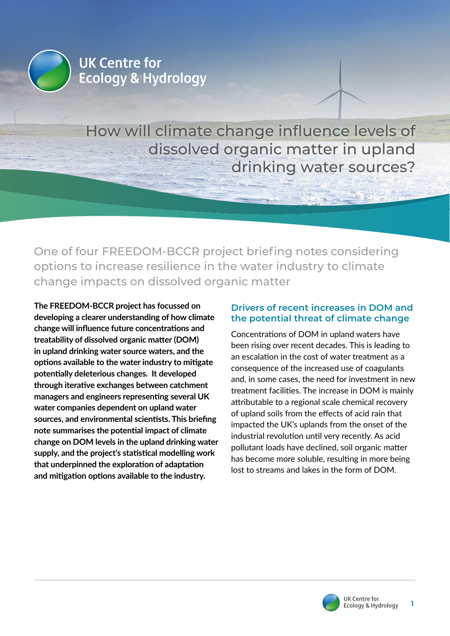

# How will climate change influence levels of dissolved organic matter in upland drinking water sources?

One of four FREEDOM-BCCR project briefing notes considering options to increase resilience in the water industry to climate change impacts on dissolved organic matter

**The FREEDOM-BCCR project has focussed on developing a clearer understanding of how climate change will influence future concentrations and treatability of dissolved organic matter (DOM) in upland drinking water source waters, and the options available to the water industry to mitigate potentially deleterious changes. It developed through iterative exchanges between catchment managers and engineers representing several UK water companies dependent on upland water sources, and environmental scientists. This briefing note summarises the potential impact of climate change on DOM levels in the upland drinking water supply, and the project's statistical modelling work that underpinned the exploration of adaptation and mitigation options available to the industry.**

# **Drivers of recent increases in DOM and the potential threat of climate change**

Concentrations of DOM in upland waters have been rising over recent decades. This is leading to an escalation in the cost of water treatment as a consequence of the increased use of coagulants and, in some cases, the need for investment in new treatment facilities. The increase in DOM is mainly attributable to a regional scale chemical recovery of upland soils from the effects of acid rain that impacted the UK's uplands from the onset of the industrial revolution until very recently. As acid pollutant loads have declined, soil organic matter has become more soluble, resulting in more being lost to streams and lakes in the form of DOM.

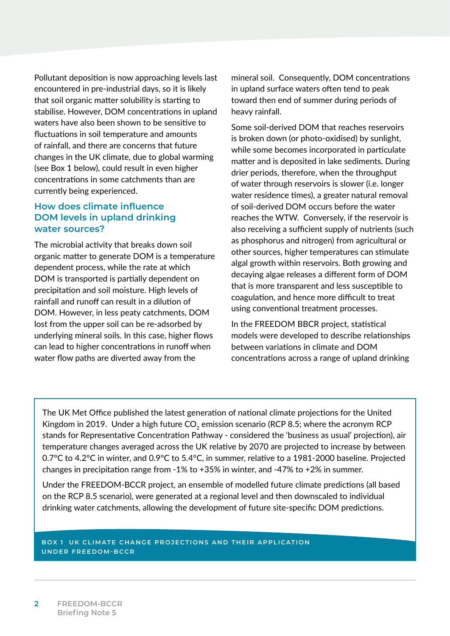Pollutant deposition is now approaching levels last encountered in pre-industrial days, so it is likely that soil organic matter solubility is starting to stabilise. However, DOM concentrations in upland waters have also been shown to be sensitive to fluctuations in soil temperature and amounts of rainfall, and there are concerns that future changes in the UK climate, due to global warming (see Box 1 below), could result in even higher concentrations in some catchments than are currently being experienced.

# **How does climate influence DOM levels in upland drinking water sources?**

The microbial activity that breaks down soil organic matter to generate DOM is a temperature dependent process, while the rate at which DOM is transported is partially dependent on precipitation and soil moisture. High levels of rainfall and runoff can result in a dilution of DOM. However, in less peaty catchments, DOM lost from the upper soil can be re-adsorbed by underlying mineral soils. In this case, higher flows can lead to higher concentrations in runoff when water flow paths are diverted away from the

mineral soil. Consequently, DOM concentrations in upland surface waters often tend to peak toward then end of summer during periods of heavy rainfall.

Some soil-derived DOM that reaches reservoirs is broken down (or photo-oxidised) by sunlight, while some becomes incorporated in particulate matter and is deposited in lake sediments. During drier periods, therefore, when the throughput of water through reservoirs is slower (i.e. longer water residence times), a greater natural removal of soil-derived DOM occurs before the water reaches the WTW. Conversely, if the reservoir is also receiving a sufficient supply of nutrients (such as phosphorus and nitrogen) from agricultural or other sources, higher temperatures can stimulate algal growth within reservoirs. Both growing and decaying algae releases a different form of DOM that is more transparent and less susceptible to coagulation, and hence more difficult to treat using conventional treatment processes.

In the FREEDOM BBCR project, statistical models were developed to describe relationships between variations in climate and DOM concentrations across a range of upland drinking

The UK Met Office published the latest generation of national climate projections for the United Kingdom in 2019. Under a high future  $CO<sub>2</sub>$  emission scenario (RCP 8.5; where the acronym RCP stands for Representative Concentration Pathway - considered the 'business as usual' projection), air temperature changes averaged across the UK relative by 2070 are projected to increase by between 0.7°C to 4.2°C in winter, and 0.9°C to 5.4°C, in summer, relative to a 1981-2000 baseline. Projected changes in precipitation range from -1% to +35% in winter, and -47% to +2% in summer.

Under the FREEDOM-BCCR project, an ensemble of modelled future climate predictions (all based on the RCP 8.5 scenario), were generated at a regional level and then downscaled to individual drinking water catchments, allowing the development of future site-specific DOM predictions.

### **BOX 1 UK CLIMATE CHANGE PROJECTIONS AND THEIR APPLICATION UNDER FREEDOM-BCCR**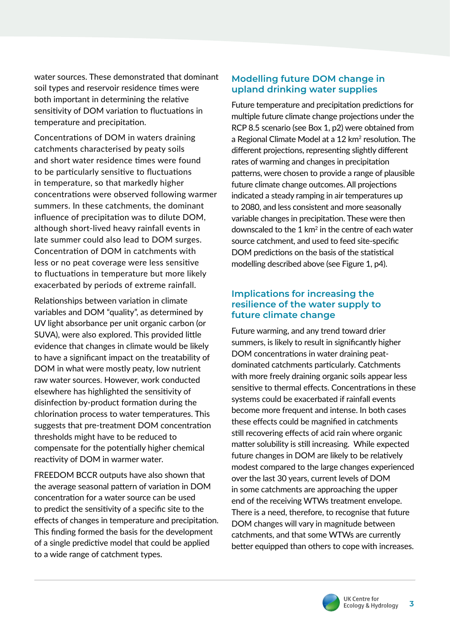water sources. These demonstrated that dominant soil types and reservoir residence times were both important in determining the relative sensitivity of DOM variation to fluctuations in temperature and precipitation.

Concentrations of DOM in waters draining catchments characterised by peaty soils and short water residence times were found to be particularly sensitive to fluctuations in temperature, so that markedly higher concentrations were observed following warmer summers. In these catchments, the dominant influence of precipitation was to dilute DOM, although short-lived heavy rainfall events in late summer could also lead to DOM surges. Concentration of DOM in catchments with less or no peat coverage were less sensitive to fluctuations in temperature but more likely exacerbated by periods of extreme rainfall.

Relationships between variation in climate variables and DOM "quality", as determined by UV light absorbance per unit organic carbon (or SUVA), were also explored. This provided little evidence that changes in climate would be likely to have a significant impact on the treatability of DOM in what were mostly peaty, low nutrient raw water sources. However, work conducted elsewhere has highlighted the sensitivity of disinfection by-product formation during the chlorination process to water temperatures. This suggests that pre-treatment DOM concentration thresholds might have to be reduced to compensate for the potentially higher chemical reactivity of DOM in warmer water.

FREEDOM BCCR outputs have also shown that the average seasonal pattern of variation in DOM concentration for a water source can be used to predict the sensitivity of a specific site to the effects of changes in temperature and precipitation. This finding formed the basis for the development of a single predictive model that could be applied to a wide range of catchment types.

# **Modelling future DOM change in upland drinking water supplies**

Future temperature and precipitation predictions for multiple future climate change projections under the RCP 8.5 scenario (see Box 1, p2) were obtained from a Regional Climate Model at a 12 km<sup>2</sup> resolution. The different projections, representing slightly different rates of warming and changes in precipitation patterns, were chosen to provide a range of plausible future climate change outcomes. All projections indicated a steady ramping in air temperatures up to 2080, and less consistent and more seasonally variable changes in precipitation. These were then downscaled to the  $1 \text{ km}^2$  in the centre of each water source catchment, and used to feed site-specific DOM predictions on the basis of the statistical modelling described above (see Figure 1, p4).

# **Implications for increasing the resilience of the water supply to future climate change**

Future warming, and any trend toward drier summers, is likely to result in significantly higher DOM concentrations in water draining peatdominated catchments particularly. Catchments with more freely draining organic soils appear less sensitive to thermal effects. Concentrations in these systems could be exacerbated if rainfall events become more frequent and intense. In both cases these effects could be magnified in catchments still recovering effects of acid rain where organic matter solubility is still increasing. While expected future changes in DOM are likely to be relatively modest compared to the large changes experienced over the last 30 years, current levels of DOM in some catchments are approaching the upper end of the receiving WTWs treatment envelope. There is a need, therefore, to recognise that future DOM changes will vary in magnitude between catchments, and that some WTWs are currently better equipped than others to cope with increases.

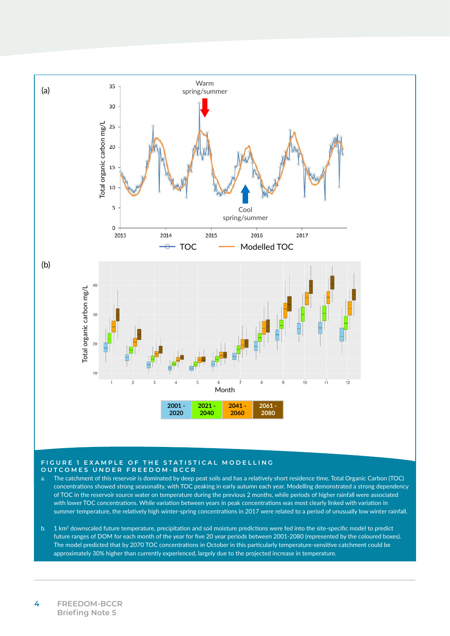

#### **FIGURE 1 EXAMPLE OF THE STATISTICAL MODELLING OUTCOMES UNDER FREEDOM-BCCR**

- a. The catchment of this reservoir is dominated by deep peat soils and has a relatively short residence time. Total Organic Carbon (TOC) concentrations showed strong seasonality, with TOC peaking in early autumn each year. Modelling demonstrated a strong dependency of TOC in the reservoir source water on temperature during the previous 2 months, while periods of higher rainfall were associated with lower TOC concentrations. While variation between years in peak concentrations was most clearly linked with variation in summer temperature, the relatively high winter-spring concentrations in 2017 were related to a period of unusually low winter rainfall.
- b. 1 km<sup>2</sup> downscaled future temperature, precipitation and soil moisture predictions were fed into the site-specific model to predict future ranges of DOM for each month of the year for five 20 year periods between 2001-2080 (represented by the coloured boxes). The model predicted that by 2070 TOC concentrations in October in this particularly temperature-sensitive catchment could be approximately 30% higher than currently experienced, largely due to the projected increase in temperature.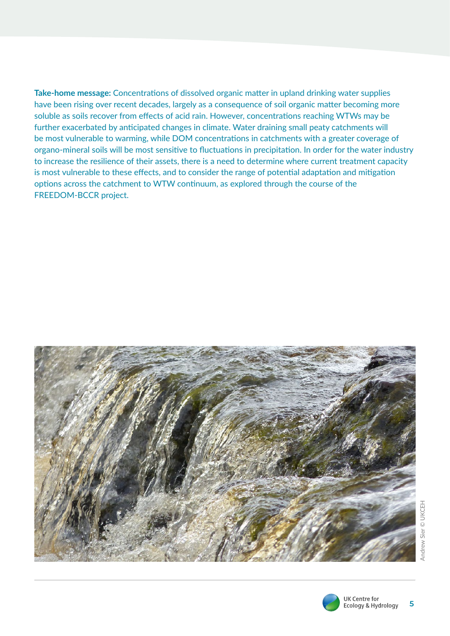**Take-home message:** Concentrations of dissolved organic matter in upland drinking water supplies have been rising over recent decades, largely as a consequence of soil organic matter becoming more soluble as soils recover from effects of acid rain. However, concentrations reaching WTWs may be further exacerbated by anticipated changes in climate. Water draining small peaty catchments will be most vulnerable to warming, while DOM concentrations in catchments with a greater coverage of organo-mineral soils will be most sensitive to fluctuations in precipitation. In order for the water industry to increase the resilience of their assets, there is a need to determine where current treatment capacity is most vulnerable to these effects, and to consider the range of potential adaptation and mitigation options across the catchment to WTW continuum, as explored through the course of the FREEDOM-BCCR project.